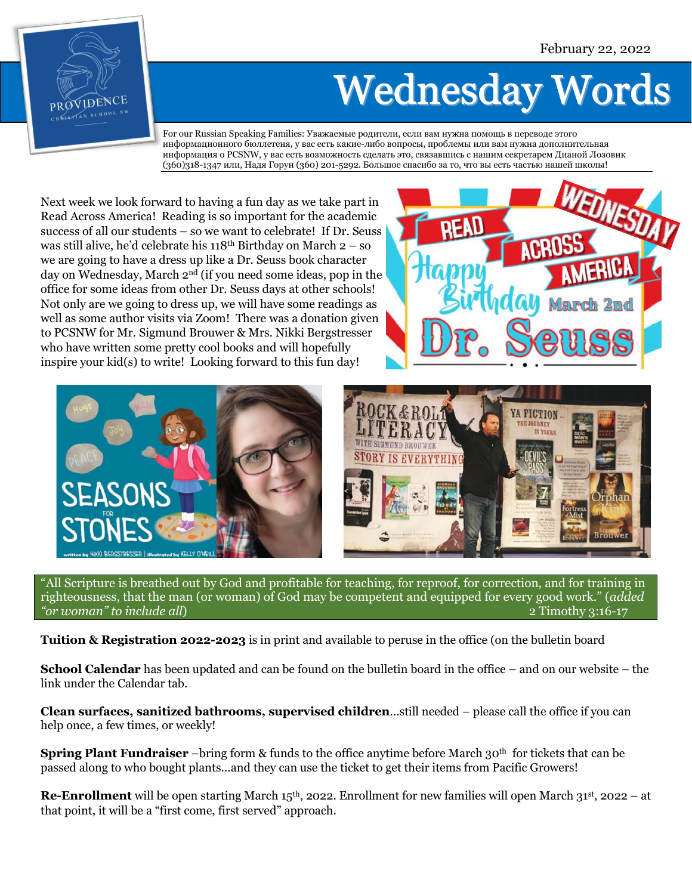

## **Wednesday Words**

For our Russian Speaking Families: Уважаемые родители, если вам нужна помощь в переводе этого информационного бюллетеня, у вас есть какие-либо вопросы, проблемы или вам нужна дополнительная информация о PCSNW, у вас есть возможность сделать это, связавшись с нашим секретарем Дианой Лозовик (360)318-1347 или, Надя Горун (360) 201-5292. Большое спасибо за то, что вы есть частью нашей школы!

Next week we look forward to having a fun day as we take part in Read Across America! Reading is so important for the academic success of all our students – so we want to celebrate! If Dr. Seuss was still alive, he'd celebrate his 118th Birthday on March 2 – so we are going to have a dress up like a Dr. Seuss book character day on Wednesday, March 2nd (if you need some ideas, pop in the office for some ideas from other Dr. Seuss days at other schools! Not only are we going to dress up, we will have some readings as well as some author visits via Zoom! There was a donation given to PCSNW for Mr. Sigmund Brouwer & Mrs. Nikki Bergstresser who have written some pretty cool books and will hopefully inspire your kid(s) to write! Looking forward to this fun day!





"All Scripture is breathed out by God and profitable for teaching, for reproof, for correction, and for training in righteousness, that the man (or woman) of God may be competent and equipped for every good work." (*added "or woman" to include all*) 2 Timothy 3:16-17

**Tuition & Registration 2022-2023** is in print and available to peruse in the office (on the bulletin board

**School Calendar** has been updated and can be found on the bulletin board in the office – and on our website – the link under the Calendar tab.

**Clean surfaces, sanitized bathrooms, supervised children**…still needed – please call the office if you can help once, a few times, or weekly!

**Spring Plant Fundraiser** –bring form & funds to the office anytime before March 30<sup>th</sup> for tickets that can be passed along to who bought plants…and they can use the ticket to get their items from Pacific Growers!

**Re-Enrollment** will be open starting March 15<sup>th</sup>, 2022. Enrollment for new families will open March 31<sup>st</sup>, 2022 – at that point, it will be a "first come, first served" approach.